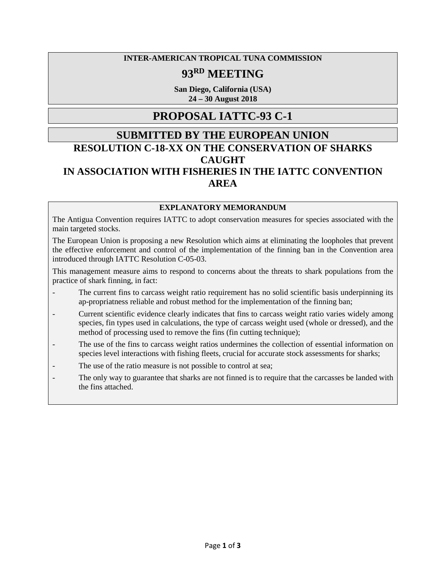#### **INTER-AMERICAN TROPICAL TUNA COMMISSION**

# **93RD MEETING**

**San Diego, California (USA) 24 – 30 August 2018**

## **PROPOSAL IATTC-93 C-1**

## **SUBMITTED BY THE EUROPEAN UNION RESOLUTION C-18-XX ON THE CONSERVATION OF SHARKS CAUGHT IN ASSOCIATION WITH FISHERIES IN THE IATTC CONVENTION AREA**

#### **EXPLANATORY MEMORANDUM**

The Antigua Convention requires IATTC to adopt conservation measures for species associated with the main targeted stocks.

The European Union is proposing a new Resolution which aims at eliminating the loopholes that prevent the effective enforcement and control of the implementation of the finning ban in the Convention area introduced through IATTC Resolution C-05-03.

This management measure aims to respond to concerns about the threats to shark populations from the practice of shark finning, in fact:

- The current fins to carcass weight ratio requirement has no solid scientific basis underpinning its ap-propriatness reliable and robust method for the implementation of the finning ban;
- Current scientific evidence clearly indicates that fins to carcass weight ratio varies widely among species, fin types used in calculations, the type of carcass weight used (whole or dressed), and the method of processing used to remove the fins (fin cutting technique);
- The use of the fins to carcass weight ratios undermines the collection of essential information on species level interactions with fishing fleets, crucial for accurate stock assessments for sharks;
- The use of the ratio measure is not possible to control at sea;
- The only way to guarantee that sharks are not finned is to require that the carcasses be landed with the fins attached.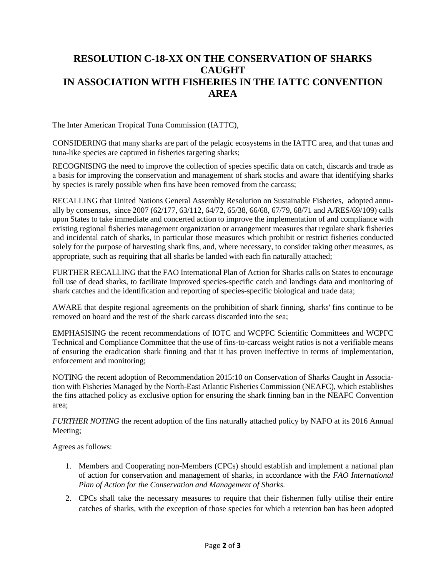## **RESOLUTION C-18-XX ON THE CONSERVATION OF SHARKS CAUGHT IN ASSOCIATION WITH FISHERIES IN THE IATTC CONVENTION AREA**

The Inter American Tropical Tuna Commission (IATTC),

CONSIDERING that many sharks are part of the pelagic ecosystems in the IATTC area, and that tunas and tuna-like species are captured in fisheries targeting sharks;

RECOGNISING the need to improve the collection of species specific data on catch, discards and trade as a basis for improving the conservation and management of shark stocks and aware that identifying sharks by species is rarely possible when fins have been removed from the carcass;

RECALLING that United Nations General Assembly Resolution on Sustainable Fisheries, adopted annually by consensus, since 2007 (62/177, 63/112, 64/72, 65/38, 66/68, 67/79, 68/71 and A/RES/69/109) calls upon States to take immediate and concerted action to improve the implementation of and compliance with existing regional fisheries management organization or arrangement measures that regulate shark fisheries and incidental catch of sharks, in particular those measures which prohibit or restrict fisheries conducted solely for the purpose of harvesting shark fins, and, where necessary, to consider taking other measures, as appropriate, such as requiring that all sharks be landed with each fin naturally attached;

FURTHER RECALLING that the FAO International Plan of Action for Sharks calls on States to encourage full use of dead sharks, to facilitate improved species-specific catch and landings data and monitoring of shark catches and the identification and reporting of species-specific biological and trade data;

AWARE that despite regional agreements on the prohibition of shark finning, sharks' fins continue to be removed on board and the rest of the shark carcass discarded into the sea;

EMPHASISING the recent recommendations of IOTC and WCPFC Scientific Committees and WCPFC Technical and Compliance Committee that the use of fins-to-carcass weight ratios is not a verifiable means of ensuring the eradication shark finning and that it has proven ineffective in terms of implementation, enforcement and monitoring;

NOTING the recent adoption of Recommendation 2015:10 on Conservation of Sharks Caught in Association with Fisheries Managed by the North-East Atlantic Fisheries Commission (NEAFC), which establishes the fins attached policy as exclusive option for ensuring the shark finning ban in the NEAFC Convention area;

*FURTHER NOTING* the recent adoption of the fins naturally attached policy by NAFO at its 2016 Annual Meeting;

Agrees as follows:

- 1. Members and Cooperating non-Members (CPCs) should establish and implement a national plan of action for conservation and management of sharks, in accordance with the *FAO International Plan of Action for the Conservation and Management of Sharks.*
- 2. CPCs shall take the necessary measures to require that their fishermen fully utilise their entire catches of sharks, with the exception of those species for which a retention ban has been adopted